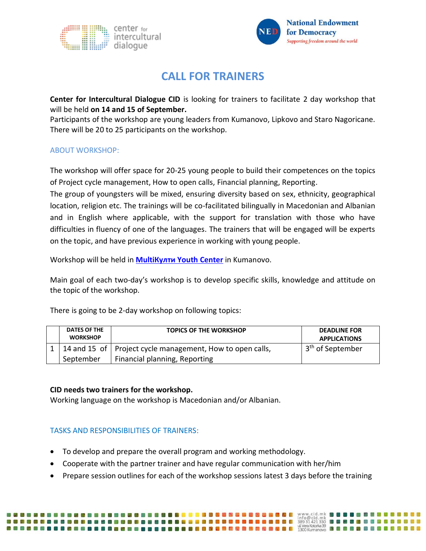



# **CALL FOR TRAINERS**

**Center for Intercultural Dialogue CID** is looking for trainers to facilitate 2 day workshop that will be held **on 14 and 15 of September.**

Participants of the workshop are young leaders from Kumanovo, Lipkovo and Staro Nagoricane. There will be 20 to 25 participants on the workshop.

## ABOUT WORKSHOP:

The workshop will offer space for 20-25 young people to build their competences on the topics of Project cycle management, How to open calls, Financial planning, Reporting.

The group of youngsters will be mixed, ensuring diversity based on sex, ethnicity, geographical location, religion etc. The trainings will be co-facilitated bilingually in Macedonian and Albanian and in English where applicable, with the support for translation with those who have difficulties in fluency of one of the languages. The trainers that will be engaged will be experts on the topic, and have previous experience in working with young people.

Workshop will be held in **MultiКулти [Youth Center](http://multikulti.mk/mk/contact-us/)** in Kumanovo.

Main goal of each two-day's workshop is to develop specific skills, knowledge and attitude on the topic of the workshop.

There is going to be 2-day workshop on following topics:

| DATES OF THE<br><b>WORKSHOP</b> | <b>TOPICS OF THE WORKSHOP</b>                               | <b>DEADLINE FOR</b><br><b>APPLICATIONS</b> |
|---------------------------------|-------------------------------------------------------------|--------------------------------------------|
|                                 | 14 and 15 of   Project cycle management, How to open calls, | 3 <sup>th</sup> of September               |
| September                       | Financial planning, Reporting                               |                                            |

## **CID needs two trainers for the workshop.**

Working language on the workshop is Macedonian and/or Albanian.

# TASKS AND RESPONSIBILITIES OF TRAINERS:

,,,,,,,,,,,,,,,,,,,,,,,,,,,

- To develop and prepare the overall program and working methodology.
- Cooperate with the partner trainer and have regular communication with her/him
- Prepare session outlines for each of the workshop sessions latest 3 days before the training

四 和 国

**BOODSEE** 

**NAMERADO DO DO DO**